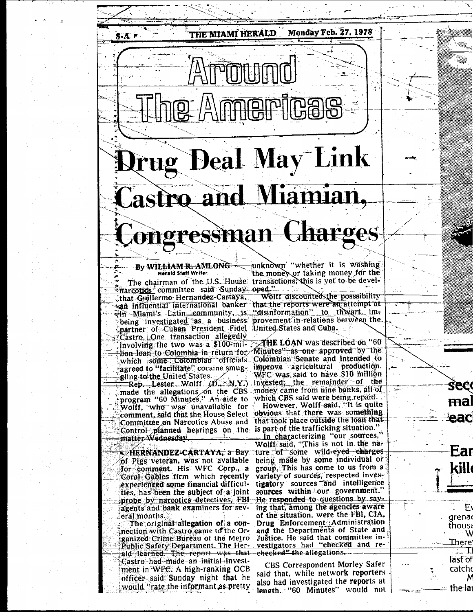## **Drug Deal May Link** nd Miamian. tro al ongressman Charges

**THE MIAMI HERALD** 

## By WI<del>LLIAM R. AMLONG</del> Herald Staff Writer

 $8-A$ 

<sup>T</sup>rarcotics committee said Sunday oped." that Guillermo Hernandez-Cartaya. san influential international banker that the reports were an attempt at<br> $\frac{1}{2}$ m Miami's Latin community, is "disinformation" to thwart impartner of Cuban President Fidel United States and Cuba. Castro. One transaction allegedly involving the two was a \$100-mil Minutes" as one approved by the sign following the same formula in return for Minutes" as one approved by the agreed to "facilitate" cocaine smuggling to the United States.

Rep. Lester Wolff (D. N.Y.) made the allegations on the CBS money came from nine banks, all of program "60 Minutes." An aide to which CBS said were being repaid. Wolff, who was unavailable for comment, said that the House Select Committee on Narcotics Abuse and Control planned hearings on the is part of the trafficking situation." matter-Wednesday.

≂>HERNANDEZ-CARTAYA, a Bay of Pigs veteran, was not available for comment. His WFC Corp., a Coral Gables firm which recently experienced some financial difficulties, has been the subject of a joint probe by narcotics detectives, FBI agents and bank examiners for several months.

The original allegation of a connection with Castro came to the Organized Crime Bureau of the Metro Public Safety Department, The Her-<br>ald learned. The report was that Castro had made an initial investment in WFC. A high-ranking OCB officer said Sunday night that he would "rate the informant as pretty

unknown "whether it is washing the money or taking money for the The chairman of the U.S. House transactions, this is yet to be devel-

**Monday Feb. 27, 1978** 

Wolff discounted the posssibility being investigated as a business provement in relations between the

which some Colombian officials Colombian Senate and intended to improve agricultural production. WFC was said to have \$10 million invested; the remainder of the

**Seco** 

mal

eac

Ear

E١

W

N

grena

thousa

There'

last of

 $\mathsf{catch}$ 

the lai

 $\Box$   $\Box$ 

However, Wolff said, "It is quite obvious that there was something that took place outside the loan that

In characterizing "our sources,"<br>Wolff said, "This is not in the nature of some wild-eyed charges being made by some individual or group. This has come to us from a variety of sources, respected investigatory sources and intelligence sources within our government. He responded to questions by saying that, among the agencies aware of the situation, were the FBI, CIA. Drug Enforcement Administration and the Departments of State and Justice. He said that committee investigators had "checked and re--checked<del>" t</del>he allegations.

**CBS Correspondent Morley Safer** said that, while network reporters also had investigated the reports at length. "60 Minutes" would not